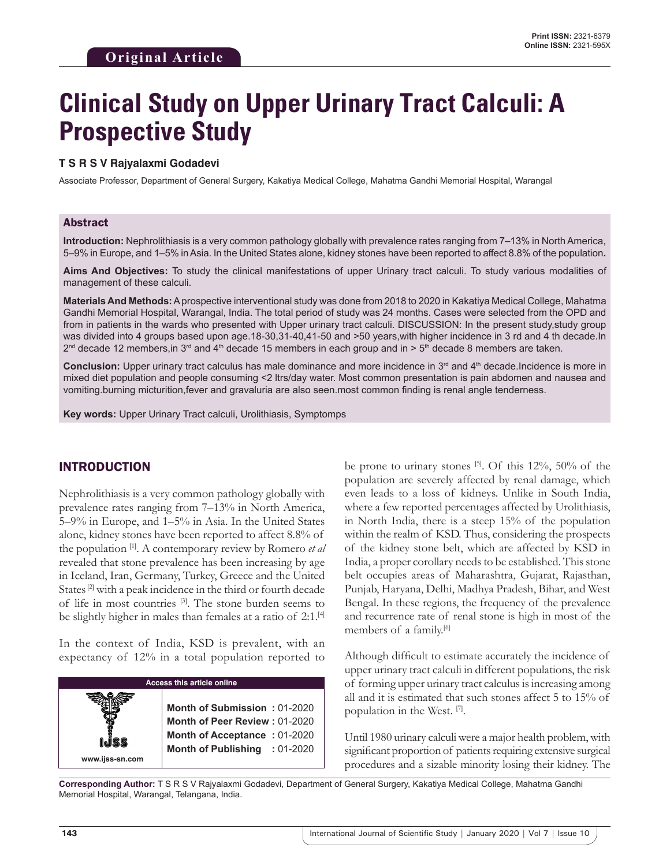# **Clinical Study on Upper Urinary Tract Calculi: A Prospective Study**

#### **T S R S V Rajyalaxmi Godadevi**

Associate Professor, Department of General Surgery, Kakatiya Medical College, Mahatma Gandhi Memorial Hospital, Warangal

#### Abstract

**Introduction:** Nephrolithiasis is a very common pathology globally with prevalence rates ranging from 7–13% in North America, 5–9% in Europe, and 1–5% in Asia. In the United States alone, kidney stones have been reported to affect 8.8% of the population**.** 

**Aims And Objectives:** To study the clinical manifestations of upper Urinary tract calculi. To study various modalities of management of these calculi.

**Materials And Methods:** Aprospective interventional study was done from 2018 to 2020 in Kakatiya Medical College, Mahatma Gandhi Memorial Hospital, Warangal, India. The total period of study was 24 months. Cases were selected from the OPD and from in patients in the wards who presented with Upper urinary tract calculi. DISCUSSION: In the present study,study group was divided into 4 groups based upon age.18-30,31-40,41-50 and >50 years,with higher incidence in 3 rd and 4 th decade.In  $2^{nd}$  decade 12 members, in 3<sup>rd</sup> and 4<sup>th</sup> decade 15 members in each group and in > 5<sup>th</sup> decade 8 members are taken.

**Conclusion:** Upper urinary tract calculus has male dominance and more incidence in 3<sup>rd</sup> and 4<sup>th</sup> decade.Incidence is more in mixed diet population and people consuming <2 ltrs/day water. Most common presentation is pain abdomen and nausea and vomiting.burning micturition,fever and gravaluria are also seen.most common finding is renal angle tenderness.

**Key words:** Upper Urinary Tract calculi, Urolithiasis, Symptomps

#### INTRODUCTION

Nephrolithiasis is a very common pathology globally with prevalence rates ranging from 7–13% in North America, 5–9% in Europe, and 1–5% in Asia. In the United States alone, kidney stones have been reported to affect 8.8% of the population [1]. A contemporary review by Romero *et al* revealed that stone prevalence has been increasing by age in Iceland, Iran, Germany, Turkey, Greece and the United States<sup>[2]</sup> with a peak incidence in the third or fourth decade of life in most countries [3]. The stone burden seems to be slightly higher in males than females at a ratio of 2:1.<sup>[4]</sup>

In the context of India, KSD is prevalent, with an expectancy of 12% in a total population reported to

| <b>Access this article online</b> |                                                                                                                                |  |  |
|-----------------------------------|--------------------------------------------------------------------------------------------------------------------------------|--|--|
| www.ijss-sn.com                   | Month of Submission: 01-2020<br>Month of Peer Review: 01-2020<br>Month of Acceptance: 01-2020<br>Month of Publishing : 01-2020 |  |  |

be prone to urinary stones [5]. Of this 12%, 50% of the population are severely affected by renal damage, which even leads to a loss of kidneys. Unlike in South India, where a few reported percentages affected by Urolithiasis, in North India, there is a steep 15% of the population within the realm of KSD. Thus, considering the prospects of the kidney stone belt, which are affected by KSD in India, a proper corollary needs to be established. This stone belt occupies areas of Maharashtra, Gujarat, Rajasthan, Punjab, Haryana, Delhi, Madhya Pradesh, Bihar, and West Bengal. In these regions, the frequency of the prevalence and recurrence rate of renal stone is high in most of the members of a family.<sup>[6]</sup>

Although difficult to estimate accurately the incidence of upper urinary tract calculi in different populations, the risk of forming upper urinary tract calculus is increasing among all and it is estimated that such stones affect 5 to 15% of population in the West. [7].

Until 1980 urinary calculi were a major health problem, with significant proportion of patients requiring extensive surgical procedures and a sizable minority losing their kidney. The

**Corresponding Author:** T S R S V Rajyalaxmi Godadevi, Department of General Surgery, Kakatiya Medical College, Mahatma Gandhi Memorial Hospital, Warangal, Telangana, India.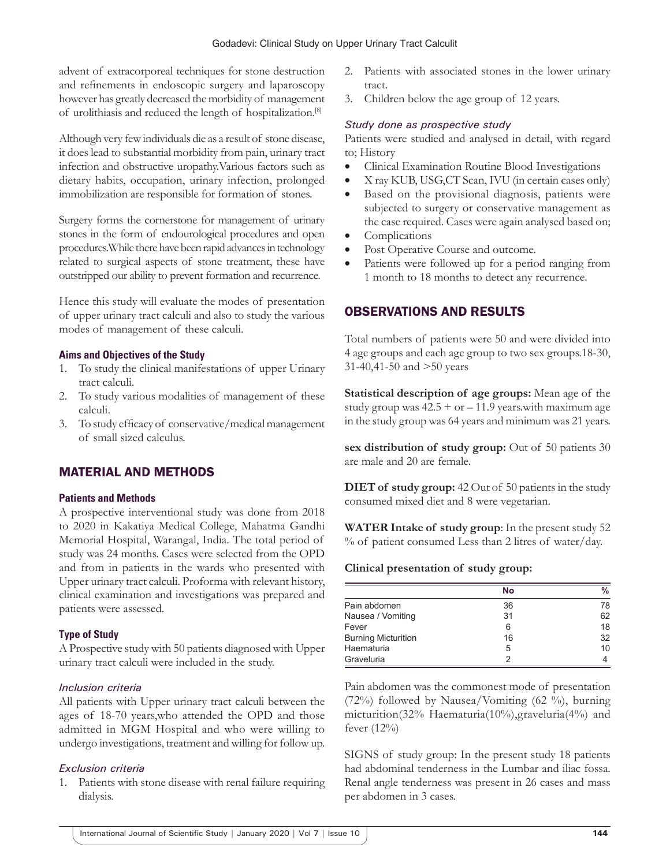advent of extracorporeal techniques for stone destruction and refinements in endoscopic surgery and laparoscopy however has greatly decreased the morbidity of management of urolithiasis and reduced the length of hospitalization.[8]

Although very few individuals die as a result of stone disease, it does lead to substantial morbidity from pain, urinary tract infection and obstructive uropathy.Various factors such as dietary habits, occupation, urinary infection, prolonged immobilization are responsible for formation of stones.

Surgery forms the cornerstone for management of urinary stones in the form of endourological procedures and open procedures.While there have been rapid advances in technology related to surgical aspects of stone treatment, these have outstripped our ability to prevent formation and recurrence.

Hence this study will evaluate the modes of presentation of upper urinary tract calculi and also to study the various modes of management of these calculi.

#### **Aims and Objectives of the Study**

- 1. To study the clinical manifestations of upper Urinary tract calculi.
- 2. To study various modalities of management of these calculi.
- 3. To study efficacy of conservative/medical management of small sized calculus.

# MATERIAL AND METHODS

#### **Patients and Methods**

A prospective interventional study was done from 2018 to 2020 in Kakatiya Medical College, Mahatma Gandhi Memorial Hospital, Warangal, India. The total period of study was 24 months. Cases were selected from the OPD and from in patients in the wards who presented with Upper urinary tract calculi. Proforma with relevant history, clinical examination and investigations was prepared and patients were assessed.

#### **Type of Study**

A Prospective study with 50 patients diagnosed with Upper urinary tract calculi were included in the study.

#### *Inclusion criteria*

All patients with Upper urinary tract calculi between the ages of 18-70 years,who attended the OPD and those admitted in MGM Hospital and who were willing to undergo investigations, treatment and willing for follow up.

#### *Exclusion criteria*

Patients with stone disease with renal failure requiring dialysis.

- 2. Patients with associated stones in the lower urinary tract.
- 3. Children below the age group of 12 years.

#### *Study done as prospective study*

Patients were studied and analysed in detail, with regard to; History

- Clinical Examination Routine Blood Investigations
- X ray KUB, USG,CT Scan, IVU (in certain cases only)
- Based on the provisional diagnosis, patients were subjected to surgery or conservative management as the case required. Cases were again analysed based on;
- Complications
- Post Operative Course and outcome.
- Patients were followed up for a period ranging from 1 month to 18 months to detect any recurrence.

## OBSERVATIONS AND RESULTS

Total numbers of patients were 50 and were divided into 4 age groups and each age group to two sex groups.18-30, 31-40,41-50 and >50 years

**Statistical description of age groups:** Mean age of the study group was  $42.5 + or - 11.9$  years.with maximum age in the study group was 64 years and minimum was 21 years.

**sex distribution of study group:** Out of 50 patients 30 are male and 20 are female.

**DIET of study group:** 42 Out of 50 patients in the study consumed mixed diet and 8 were vegetarian.

**WATER Intake of study group**: In the present study 52 % of patient consumed Less than 2 litres of water/day.

#### **Clinical presentation of study group:**

|                            | <b>No</b> | $\%$ |
|----------------------------|-----------|------|
| Pain abdomen               | 36        | 78   |
| Nausea / Vomiting          | 31        | 62   |
| Fever                      | 6         | 18   |
| <b>Burning Micturition</b> | 16        | 32   |
| Haematuria                 | 5         | 10   |
| Graveluria                 | っ         |      |

Pain abdomen was the commonest mode of presentation (72%) followed by Nausea/Vomiting (62 %), burning micturition(32% Haematuria(10%),graveluria(4%) and fever (12%)

SIGNS of study group: In the present study 18 patients had abdominal tenderness in the Lumbar and iliac fossa. Renal angle tenderness was present in 26 cases and mass per abdomen in 3 cases.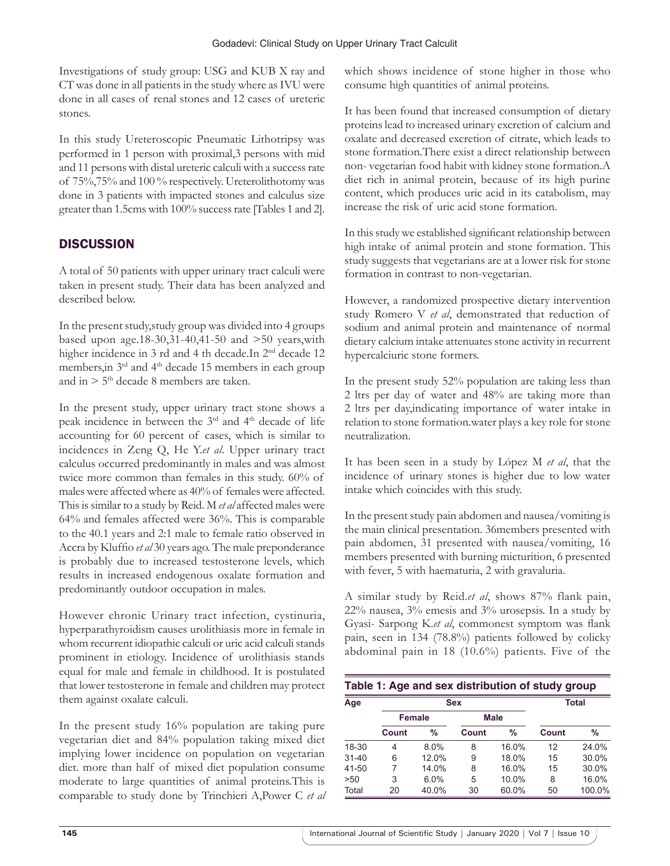Investigations of study group: USG and KUB X ray and CT was done in all patients in the study where as IVU were done in all cases of renal stones and 12 cases of ureteric stones.

In this study Ureteroscopic Pneumatic Lithotripsy was performed in 1 person with proximal,3 persons with mid and 11 persons with distal ureteric calculi with a success rate of 75%,75% and 100 % respectively. Ureterolithotomy was done in 3 patients with impacted stones and calculus size greater than 1.5cms with 100% success rate [Tables 1 and 2].

# **DISCUSSION**

A total of 50 patients with upper urinary tract calculi were taken in present study. Their data has been analyzed and described below.

In the present study,study group was divided into 4 groups based upon age.18-30,31-40,41-50 and >50 years,with higher incidence in 3 rd and 4 th decade.In 2<sup>nd</sup> decade 12 members,in 3rd and 4th decade 15 members in each group and in  $> 5<sup>th</sup>$  decade 8 members are taken.

In the present study, upper urinary tract stone shows a peak incidence in between the 3<sup>rd</sup> and 4<sup>th</sup> decade of life accounting for 60 percent of cases, which is similar to incidences in Zeng Q, He Y.*et al*. Upper urinary tract calculus occurred predominantly in males and was almost twice more common than females in this study. 60% of males were affected where as 40% of females were affected. This is similar to a study by Reid. M *et al* affected males were 64% and females affected were 36%. This is comparable to the 40.1 years and 2:1 male to female ratio observed in Accra by Kluffio *et al* 30 years ago. The male preponderance is probably due to increased testosterone levels, which results in increased endogenous oxalate formation and predominantly outdoor occupation in males.

However chronic Urinary tract infection, cystinuria, hyperparathyroidism causes urolithiasis more in female in whom recurrent idiopathic calculi or uric acid calculi stands prominent in etiology. Incidence of urolithiasis stands equal for male and female in childhood. It is postulated that lower testosterone in female and children may protect them against oxalate calculi.

In the present study 16% population are taking pure vegetarian diet and 84% population taking mixed diet implying lower incidence on population on vegetarian diet. more than half of mixed diet population consume moderate to large quantities of animal proteins.This is comparable to study done by Trinchieri A,Power C *et al* which shows incidence of stone higher in those who consume high quantities of animal proteins.

It has been found that increased consumption of dietary proteins lead to increased urinary excretion of calcium and oxalate and decreased excretion of citrate, which leads to stone formation.There exist a direct relationship between non- vegetarian food habit with kidney stone formation.A diet rich in animal protein, because of its high purine content, which produces uric acid in its catabolism, may increase the risk of uric acid stone formation.

In this study we established significant relationship between high intake of animal protein and stone formation. This study suggests that vegetarians are at a lower risk for stone formation in contrast to non-vegetarian.

However, a randomized prospective dietary intervention study Romero V *et al*, demonstrated that reduction of sodium and animal protein and maintenance of normal dietary calcium intake attenuates stone activity in recurrent hypercalciuric stone formers.

In the present study 52% population are taking less than 2 ltrs per day of water and 48% are taking more than 2 ltrs per day,indicating importance of water intake in relation to stone formation.water plays a key role for stone neutralization.

It has been seen in a study by López M *et al*, that the incidence of urinary stones is higher due to low water intake which coincides with this study.

In the present study pain abdomen and nausea/vomiting is the main clinical presentation. 36members presented with pain abdomen, 31 presented with nausea/vomiting, 16 members presented with burning micturition, 6 presented with fever, 5 with haematuria, 2 with gravaluria.

A similar study by Reid.*et al*, shows 87% flank pain, 22% nausea, 3% emesis and 3% urosepsis. In a study by Gyasi- Sarpong K.*et al*, commonest symptom was flank pain, seen in 134 (78.8%) patients followed by colicky abdominal pain in 18 (10.6%) patients. Five of the

| Age       | <b>Sex</b> |       |             |       | Total |        |
|-----------|------------|-------|-------------|-------|-------|--------|
|           | Female     |       | <b>Male</b> |       |       |        |
|           | Count      | $\%$  | Count       | %     | Count | %      |
| 18-30     | 4          | 8.0%  | 8           | 16.0% | 12    | 24.0%  |
| $31 - 40$ | 6          | 12.0% | 9           | 18.0% | 15    | 30.0%  |
| 41-50     | 7          | 14.0% | 8           | 16.0% | 15    | 30.0%  |
| >50       | 3          | 6.0%  | 5           | 10.0% | 8     | 16.0%  |
| Total     | 20         | 40.0% | 30          | 60.0% | 50    | 100.0% |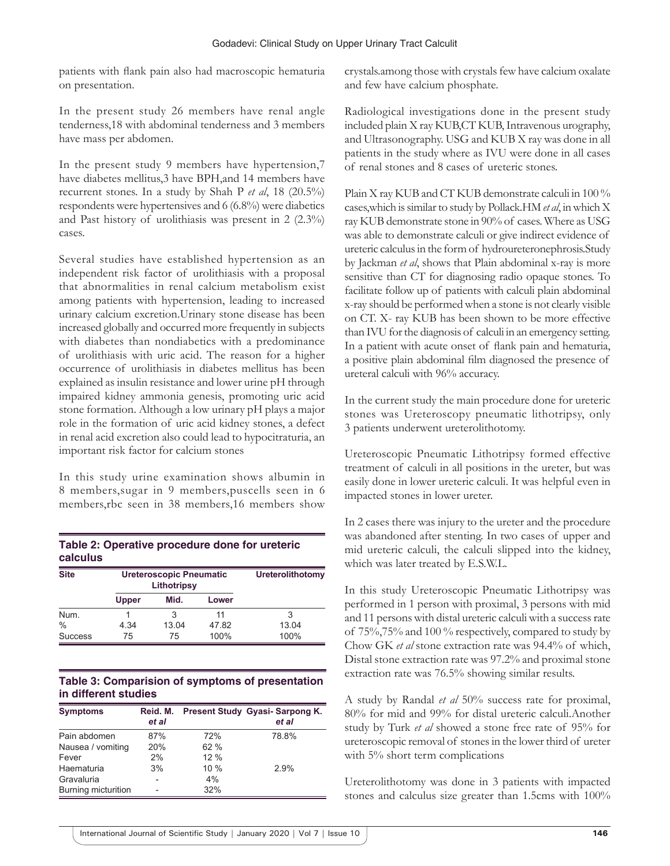patients with flank pain also had macroscopic hematuria on presentation.

In the present study 26 members have renal angle tenderness,18 with abdominal tenderness and 3 members have mass per abdomen.

In the present study 9 members have hypertension,7 have diabetes mellitus,3 have BPH,and 14 members have recurrent stones. In a study by Shah P *et al*, 18 (20.5%) respondents were hypertensives and 6 (6.8%) were diabetics and Past history of urolithiasis was present in 2 (2.3%) cases.

Several studies have established hypertension as an independent risk factor of urolithiasis with a proposal that abnormalities in renal calcium metabolism exist among patients with hypertension, leading to increased urinary calcium excretion.Urinary stone disease has been increased globally and occurred more frequently in subjects with diabetes than nondiabetics with a predominance of urolithiasis with uric acid. The reason for a higher occurrence of urolithiasis in diabetes mellitus has been explained as insulin resistance and lower urine pH through impaired kidney ammonia genesis, promoting uric acid stone formation. Although a low urinary pH plays a major role in the formation of uric acid kidney stones, a defect in renal acid excretion also could lead to hypocitraturia, an important risk factor for calcium stones

In this study urine examination shows albumin in 8 members,sugar in 9 members,puscells seen in 6 members,rbc seen in 38 members,16 members show

| Table 2: Operative procedure done for ureteric |  |
|------------------------------------------------|--|
| <b>calculus</b>                                |  |

| <b>Site</b>    | <b>Ureteroscopic Pneumatic</b><br>Lithotripsy |       |       | <b>Ureterolithotomy</b> |
|----------------|-----------------------------------------------|-------|-------|-------------------------|
|                | <b>Upper</b>                                  | Mid.  | Lower |                         |
| Num.           |                                               | 3     | 11    | 3                       |
| $\frac{0}{0}$  | 4.34                                          | 13.04 | 47.82 | 13.04                   |
| <b>Success</b> | 75                                            | 75    | 100%  | 100%                    |

#### **Table 3: Comparision of symptoms of presentation in different studies**

| <b>Symptoms</b>     | Reid. M.<br>et al |     | Present Study Gyasi-Sarpong K.<br>et al |
|---------------------|-------------------|-----|-----------------------------------------|
| Pain abdomen        | 87%               | 72% | 78.8%                                   |
| Nausea / vomiting   | 20%               | 62% |                                         |
| Fever               | 2%                | 12% |                                         |
| Haematuria          | 3%                | 10% | 2.9%                                    |
| Gravaluria          |                   | 4%  |                                         |
| Burning micturition |                   | 32% |                                         |

crystals.among those with crystals few have calcium oxalate and few have calcium phosphate.

Radiological investigations done in the present study included plain X ray KUB,CT KUB, Intravenous urography, and Ultrasonography. USG and KUB X ray was done in all patients in the study where as IVU were done in all cases of renal stones and 8 cases of ureteric stones.

Plain X ray KUB and CT KUB demonstrate calculi in 100 % cases,which is similar to study by Pollack.HM *et al*, in which X ray KUB demonstrate stone in 90% of cases. Where as USG was able to demonstrate calculi or give indirect evidence of ureteric calculus in the form of hydroureteronephrosis.Study by Jackman *et al*, shows that Plain abdominal x-ray is more sensitive than CT for diagnosing radio opaque stones. To facilitate follow up of patients with calculi plain abdominal x-ray should be performed when a stone is not clearly visible on CT. X- ray KUB has been shown to be more effective than IVU for the diagnosis of calculi in an emergency setting. In a patient with acute onset of flank pain and hematuria, a positive plain abdominal film diagnosed the presence of ureteral calculi with 96% accuracy.

In the current study the main procedure done for ureteric stones was Ureteroscopy pneumatic lithotripsy, only 3 patients underwent ureterolithotomy.

Ureteroscopic Pneumatic Lithotripsy formed effective treatment of calculi in all positions in the ureter, but was easily done in lower ureteric calculi. It was helpful even in impacted stones in lower ureter.

In 2 cases there was injury to the ureter and the procedure was abandoned after stenting. In two cases of upper and mid ureteric calculi, the calculi slipped into the kidney, which was later treated by E.S.W.L.

In this study Ureteroscopic Pneumatic Lithotripsy was performed in 1 person with proximal, 3 persons with mid and 11 persons with distal ureteric calculi with a success rate of 75%,75% and 100 % respectively, compared to study by Chow GK *et al* stone extraction rate was 94.4% of which, Distal stone extraction rate was 97.2% and proximal stone extraction rate was 76.5% showing similar results.

A study by Randal *et al* 50% success rate for proximal, 80% for mid and 99% for distal ureteric calculi.Another study by Turk *et al* showed a stone free rate of 95% for ureteroscopic removal of stones in the lower third of ureter with 5% short term complications

Ureterolithotomy was done in 3 patients with impacted stones and calculus size greater than 1.5cms with 100%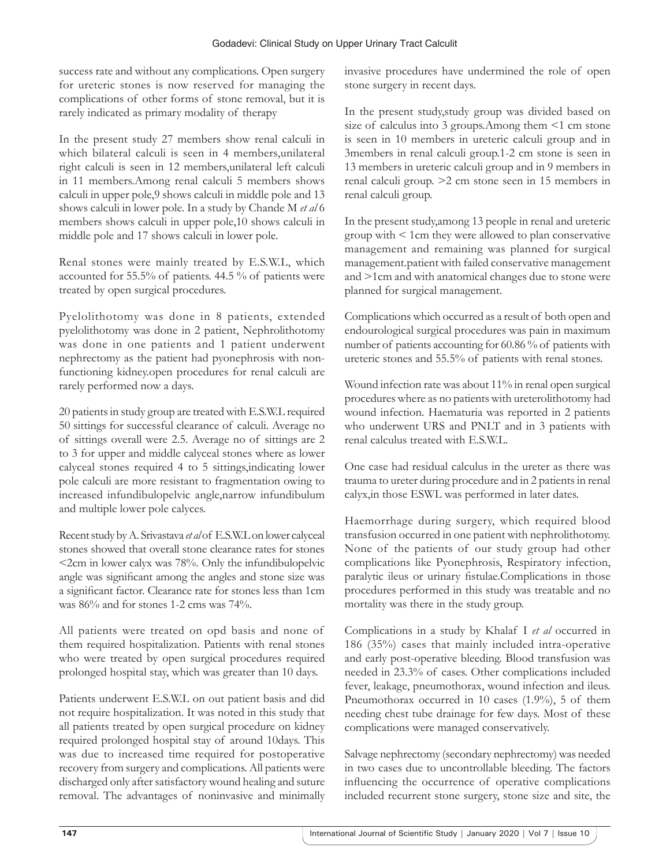success rate and without any complications. Open surgery for ureteric stones is now reserved for managing the complications of other forms of stone removal, but it is rarely indicated as primary modality of therapy

In the present study 27 members show renal calculi in which bilateral calculi is seen in 4 members,unilateral right calculi is seen in 12 members,unilateral left calculi in 11 members.Among renal calculi 5 members shows calculi in upper pole,9 shows calculi in middle pole and 13 shows calculi in lower pole. In a study by Chande M *et al* 6 members shows calculi in upper pole,10 shows calculi in middle pole and 17 shows calculi in lower pole.

Renal stones were mainly treated by E.S.W.L, which accounted for 55.5% of patients. 44.5 % of patients were treated by open surgical procedures.

Pyelolithotomy was done in 8 patients, extended pyelolithotomy was done in 2 patient, Nephrolithotomy was done in one patients and 1 patient underwent nephrectomy as the patient had pyonephrosis with nonfunctioning kidney.open procedures for renal calculi are rarely performed now a days.

20 patients in study group are treated with E.S.W.L required 50 sittings for successful clearance of calculi. Average no of sittings overall were 2.5. Average no of sittings are 2 to 3 for upper and middle calyceal stones where as lower calyceal stones required 4 to 5 sittings,indicating lower pole calculi are more resistant to fragmentation owing to increased infundibulopelvic angle,narrow infundibulum and multiple lower pole calyces.

Recent study by A. Srivastava *et al* of E.S.W.L on lower calyceal stones showed that overall stone clearance rates for stones <2cm in lower calyx was 78%. Only the infundibulopelvic angle was significant among the angles and stone size was a significant factor. Clearance rate for stones less than 1cm was 86% and for stones 1-2 cms was 74%.

All patients were treated on opd basis and none of them required hospitalization. Patients with renal stones who were treated by open surgical procedures required prolonged hospital stay, which was greater than 10 days.

Patients underwent E.S.W.L on out patient basis and did not require hospitalization. It was noted in this study that all patients treated by open surgical procedure on kidney required prolonged hospital stay of around 10days. This was due to increased time required for postoperative recovery from surgery and complications. All patients were discharged only after satisfactory wound healing and suture removal. The advantages of noninvasive and minimally invasive procedures have undermined the role of open stone surgery in recent days.

In the present study,study group was divided based on size of calculus into 3 groups. Among them <1 cm stone is seen in 10 members in ureteric calculi group and in 3members in renal calculi group.1-2 cm stone is seen in 13 members in ureteric calculi group and in 9 members in renal calculi group. >2 cm stone seen in 15 members in renal calculi group.

In the present study,among 13 people in renal and ureteric group with < 1cm they were allowed to plan conservative management and remaining was planned for surgical management.patient with failed conservative management and >1cm and with anatomical changes due to stone were planned for surgical management.

Complications which occurred as a result of both open and endourological surgical procedures was pain in maximum number of patients accounting for 60.86 % of patients with ureteric stones and 55.5% of patients with renal stones.

Wound infection rate was about 11% in renal open surgical procedures where as no patients with ureterolithotomy had wound infection. Haematuria was reported in 2 patients who underwent URS and PNLT and in 3 patients with renal calculus treated with E.S.W.L.

One case had residual calculus in the ureter as there was trauma to ureter during procedure and in 2 patients in renal calyx,in those ESWL was performed in later dates.

Haemorrhage during surgery, which required blood transfusion occurred in one patient with nephrolithotomy. None of the patients of our study group had other complications like Pyonephrosis, Respiratory infection, paralytic ileus or urinary fistulae.Complications in those procedures performed in this study was treatable and no mortality was there in the study group.

Complications in a study by Khalaf I *et al* occurred in 186 (35%) cases that mainly included intra-operative and early post-operative bleeding. Blood transfusion was needed in 23.3% of cases. Other complications included fever, leakage, pneumothorax, wound infection and ileus. Pneumothorax occurred in 10 cases (1.9%), 5 of them needing chest tube drainage for few days. Most of these complications were managed conservatively.

Salvage nephrectomy (secondary nephrectomy) was needed in two cases due to uncontrollable bleeding. The factors influencing the occurrence of operative complications included recurrent stone surgery, stone size and site, the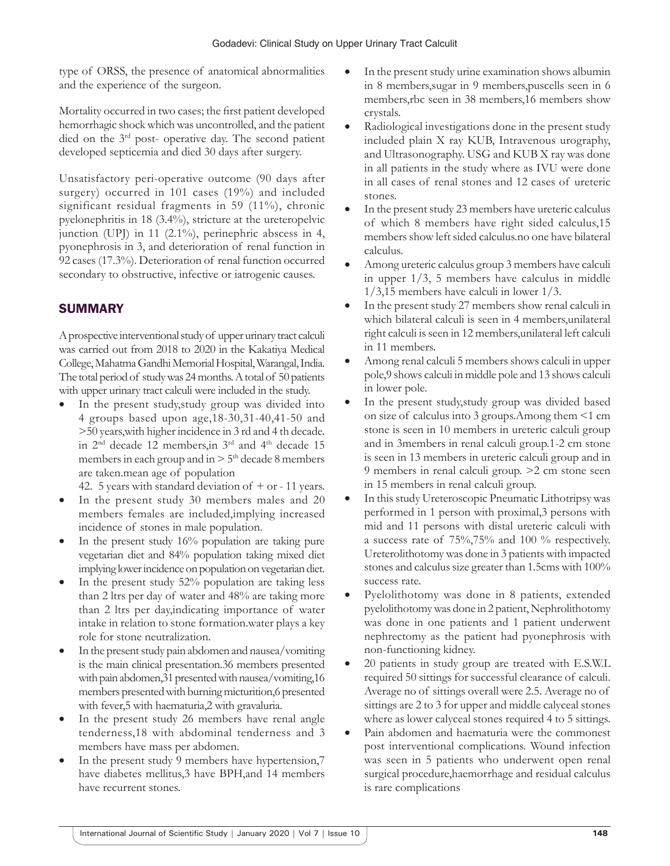type of ORSS, the presence of anatomical abnormalities and the experience of the surgeon.

Mortality occurred in two cases; the first patient developed hemorrhagic shock which was uncontrolled, and the patient died on the 3rd post- operative day. The second patient developed septicemia and died 30 days after surgery.

Unsatisfactory peri-operative outcome (90 days after surgery) occurred in 101 cases (19%) and included significant residual fragments in 59 (11%), chronic pyelonephritis in 18 (3.4%), stricture at the ureteropelvic junction (UPJ) in 11 (2.1%), perinephric abscess in 4, pyonephrosis in 3, and deterioration of renal function in 92 cases (17.3%). Deterioration of renal function occurred secondary to obstructive, infective or iatrogenic causes.

# SUMMARY

A prospective interventional study of upper urinary tract calculi was carried out from 2018 to 2020 in the Kakatiya Medical College, Mahatma Gandhi Memorial Hospital, Warangal, India. The total period of study was 24 months. A total of 50 patients with upper urinary tract calculi were included in the study.

In the present study, study group was divided into 4 groups based upon age,18-30,31-40,41-50 and >50 years,with higher incidence in 3 rd and 4 th decade. in  $2<sup>nd</sup>$  decade 12 members, in  $3<sup>rd</sup>$  and  $4<sup>th</sup>$  decade 15 members in each group and in  $> 5<sup>th</sup>$  decade 8 members are taken.mean age of population

42. 5 years with standard deviation of  $+$  or - 11 years.

- In the present study 30 members males and 20 members females are included,implying increased incidence of stones in male population.
- In the present study 16% population are taking pure vegetarian diet and 84% population taking mixed diet implying lower incidence on population on vegetarian diet.
- In the present study 52% population are taking less than 2 ltrs per day of water and 48% are taking more than 2 ltrs per day,indicating importance of water intake in relation to stone formation.water plays a key role for stone neutralization.
- In the present study pain abdomen and nausea/vomiting is the main clinical presentation.36 members presented with pain abdomen,31 presented with nausea/vomiting,16 members presented with burning micturition,6 presented with fever,5 with haematuria,2 with gravaluria.
- In the present study 26 members have renal angle tenderness,18 with abdominal tenderness and 3 members have mass per abdomen.
- In the present study 9 members have hypertension,7 have diabetes mellitus,3 have BPH,and 14 members have recurrent stones.
- In the present study urine examination shows albumin in 8 members,sugar in 9 members,puscells seen in 6 members,rbc seen in 38 members,16 members show crystals.
- Radiological investigations done in the present study included plain X ray KUB, Intravenous urography, and Ultrasonography. USG and KUB X ray was done in all patients in the study where as IVU were done in all cases of renal stones and 12 cases of ureteric stones.
- In the present study 23 members have ureteric calculus of which 8 members have right sided calculus,15 members show left sided calculus.no one have bilateral calculus.
- Among ureteric calculus group 3 members have calculi in upper 1/3, 5 members have calculus in middle 1/3,15 members have calculi in lower 1/3.
- In the present study 27 members show renal calculi in which bilateral calculi is seen in 4 members,unilateral right calculi is seen in 12 members,unilateral left calculi in 11 members.
- Among renal calculi 5 members shows calculi in upper pole,9 shows calculi in middle pole and 13 shows calculi in lower pole.
- In the present study, study group was divided based on size of calculus into 3 groups.Among them <1 cm stone is seen in 10 members in ureteric calculi group and in 3members in renal calculi group.1-2 cm stone is seen in 13 members in ureteric calculi group and in 9 members in renal calculi group. >2 cm stone seen in 15 members in renal calculi group.
- In this study Ureteroscopic Pneumatic Lithotripsy was performed in 1 person with proximal,3 persons with mid and 11 persons with distal ureteric calculi with a success rate of 75%,75% and 100 % respectively. Ureterolithotomy was done in 3 patients with impacted stones and calculus size greater than 1.5cms with 100% success rate.
- Pyelolithotomy was done in 8 patients, extended pyelolithotomy was done in 2 patient, Nephrolithotomy was done in one patients and 1 patient underwent nephrectomy as the patient had pyonephrosis with non-functioning kidney.
- 20 patients in study group are treated with E.S.W.L required 50 sittings for successful clearance of calculi. Average no of sittings overall were 2.5. Average no of sittings are 2 to 3 for upper and middle calyceal stones where as lower calyceal stones required 4 to 5 sittings.
- Pain abdomen and haematuria were the commonest post interventional complications. Wound infection was seen in 5 patients who underwent open renal surgical procedure,haemorrhage and residual calculus is rare complications